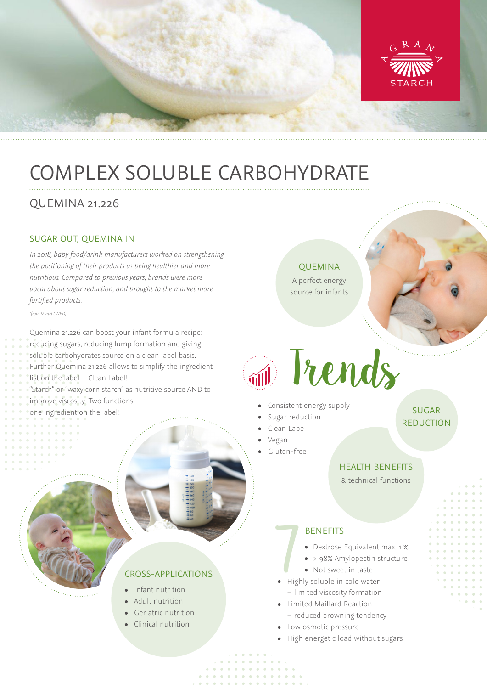

# COMPLEX SOLUBLE CARBOHYDRATE

# QUEMINA 21.226

### SUGAR OUT, QUEMINA IN

*In 2018, baby food/drink manufacturers worked on strengthening the positioning of their products as being healthier and more nutritious. Compared to previous years, brands were more vocal about sugar reduction, and brought to the market more fortified products.*

*(from Mintel GNPD)*

Quemina 21.226 can boost your infant formula recipe: reducing sugars, reducing lump formation and giving soluble carbohydrates source on a clean label basis. Further Quemina 21.226 allows to simplify the ingredient list on the label – Clean Label! "Starch" or "waxy corn starch" as nutritive source AND to improve viscosity: Two functions – one ingredient on the label!

### QUEMINA

A perfect energy source for infants

# Trends

- Consistent energy supply
- Sugar reduction

Clean Label

- Vegan
- Gluten-free

## HEALTH BENEFITS

SUGAR REDUCTION

& technical functions

### **BENEFITS**

Dextrose Equivalent max. 1 %

- > 98% Amylopectin structure
- Not sweet in taste
- BENEFITS<br>
Dextrose Equivalent<br>
> 98% Amylopectin s<br>
Not sweet in taste<br>
Highly soluble in cold water – limited viscosity formation
- Limited Maillard Reaction
	- reduced browning tendency
- Low osmotic pressure
- High energetic load without sugars

## CROSS-APPLICATIONS

- Infant nutrition
- Adult nutrition
- **•** Geriatric nutrition
- Clinical nutrition